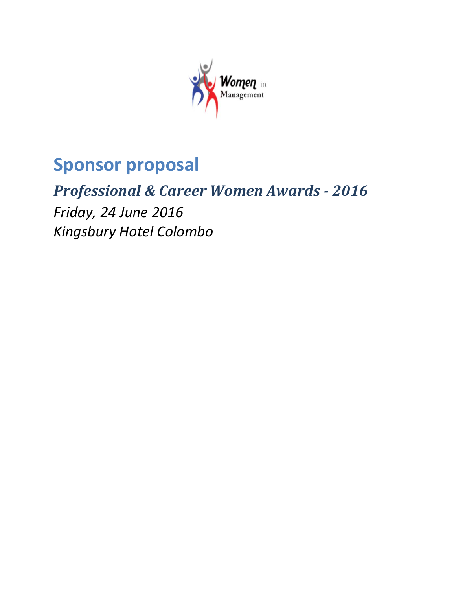

# **Sponsor proposal**

# *Professional & Career Women Awards - 2016*

*Friday, 24 June 2016 Kingsbury Hotel Colombo*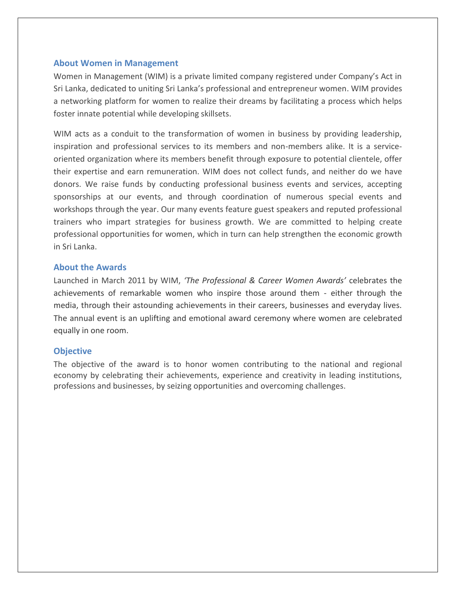## **About Women in Management**

Women in Management (WIM) is a private limited company registered under Company's Act in Sri Lanka, dedicated to uniting Sri Lanka's professional and entrepreneur women. WIM provides a networking platform for women to realize their dreams by facilitating a process which helps foster innate potential while developing skillsets.

WIM acts as a conduit to the transformation of women in business by providing leadership, inspiration and professional services to its members and non-members alike. It is a serviceoriented organization where its members benefit through exposure to potential clientele, offer their expertise and earn remuneration. WIM does not collect funds, and neither do we have donors. We raise funds by conducting professional business events and services, accepting sponsorships at our events, and through coordination of numerous special events and workshops through the year. Our many events feature guest speakers and reputed professional trainers who impart strategies for business growth. We are committed to helping create professional opportunities for women, which in turn can help strengthen the economic growth in Sri Lanka.

## **About the Awards**

Launched in March 2011 by WIM, *'The Professional & Career Women Awards'* celebrates the achievements of remarkable women who inspire those around them - either through the media, through their astounding achievements in their careers, businesses and everyday lives. The annual event is an uplifting and emotional award ceremony where women are celebrated equally in one room.

### **Objective**

The objective of the award is to honor women contributing to the national and regional economy by celebrating their achievements, experience and creativity in leading institutions, professions and businesses, by seizing opportunities and overcoming challenges.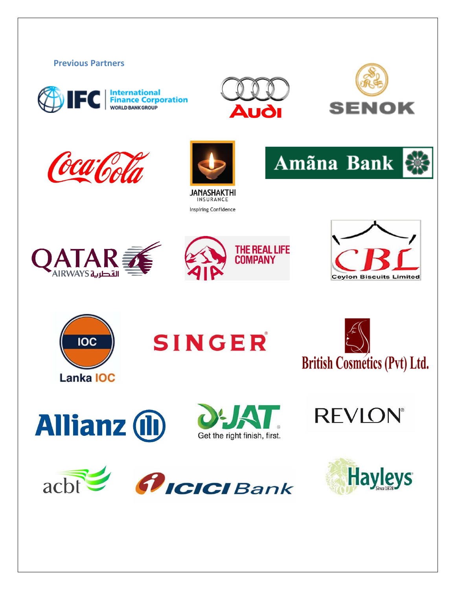



acht

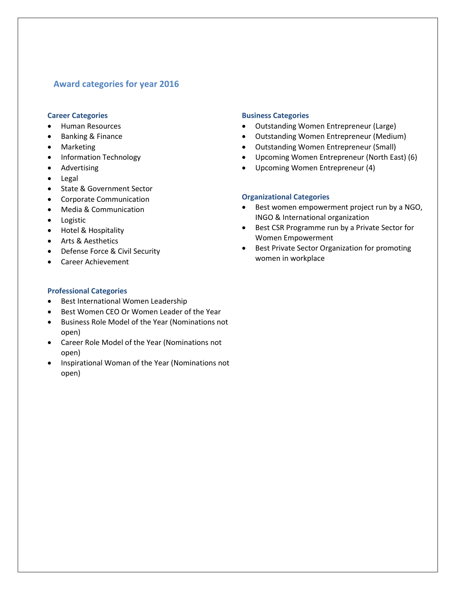## **Award categories for year 2016**

#### **Career Categories**

- Human Resources
- Banking & Finance
- Marketing
- Information Technology
- Advertising
- Legal
- State & Government Sector
- Corporate Communication
- Media & Communication
- Logistic
- Hotel & Hospitality
- Arts & Aesthetics
- Defense Force & Civil Security
- Career Achievement

#### **Business Categories**

- Outstanding Women Entrepreneur (Large)
- Outstanding Women Entrepreneur (Medium)
- Outstanding Women Entrepreneur (Small)
- Upcoming Women Entrepreneur (North East) (6)
- Upcoming Women Entrepreneur (4)

#### **Organizational Categories**

- Best women empowerment project run by a NGO, INGO & International organization
- Best CSR Programme run by a Private Sector for Women Empowerment
- **•** Best Private Sector Organization for promoting women in workplace

### **Professional Categories**

- Best International Women Leadership
- Best Women CEO Or Women Leader of the Year
- Business Role Model of the Year (Nominations not open)
- Career Role Model of the Year (Nominations not open)
- Inspirational Woman of the Year (Nominations not open)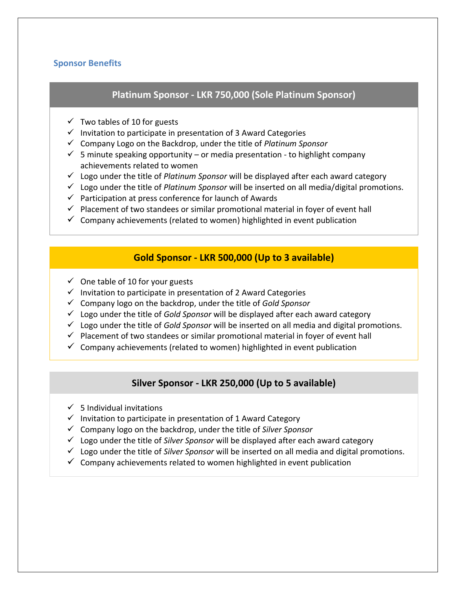# **Sponsor Benefits**

# **Platinum Sponsor - LKR 750,000 (Sole Platinum Sponsor)**

- $\checkmark$  Two tables of 10 for guests
- $\checkmark$  Invitation to participate in presentation of 3 Award Categories
- Company Logo on the Backdrop, under the title of *Platinum Sponsor*
- $\checkmark$  5 minute speaking opportunity or media presentation to highlight company achievements related to women
- Logo under the title of *Platinum Sponsor* will be displayed after each award category
- Logo under the title of *Platinum Sponsor* will be inserted on all media/digital promotions.
- $\checkmark$  Participation at press conference for launch of Awards
- $\checkmark$  Placement of two standees or similar promotional material in foyer of event hall
- $\checkmark$  Company achievements (related to women) highlighted in event publication

# **Gold Sponsor - LKR 500,000 (Up to 3 available)**

- $\checkmark$  One table of 10 for your guests
- $\checkmark$  Invitation to participate in presentation of 2 Award Categories
- Company logo on the backdrop, under the title of *Gold Sponsor*
- Logo under the title of *Gold Sponsor* will be displayed after each award category
- Logo under the title of *Gold Sponsor* will be inserted on all media and digital promotions.
- $\checkmark$  Placement of two standees or similar promotional material in foyer of event hall
- $\checkmark$  Company achievements (related to women) highlighted in event publication

# **Silver Sponsor - LKR 250,000 (Up to 5 available)**

- $\checkmark$  5 Individual invitations
- $\checkmark$  Invitation to participate in presentation of 1 Award Category
- Company logo on the backdrop, under the title of *Silver Sponsor*
- Logo under the title of *Silver Sponsor* will be displayed after each award category
- Logo under the title of *Silver Sponsor* will be inserted on all media and digital promotions.
- $\checkmark$  Company achievements related to women highlighted in event publication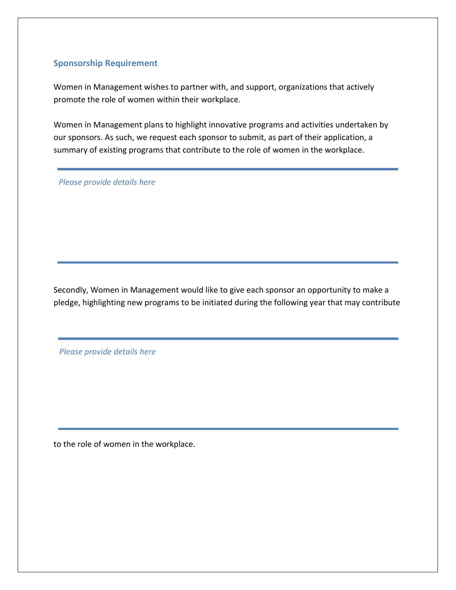## **Sponsorship Requirement**

Women in Management wishes to partner with, and support, organizations that actively promote the role of women within their workplace.

Women in Management plans to highlight innovative programs and activities undertaken by our sponsors. As such, we request each sponsor to submit, as part of their application, a summary of existing programs that contribute to the role of women in the workplace.

*Please provide details here*

Secondly, Women in Management would like to give each sponsor an opportunity to make a pledge, highlighting new programs to be initiated during the following year that may contribute

*Please provide details here*

to the role of women in the workplace.